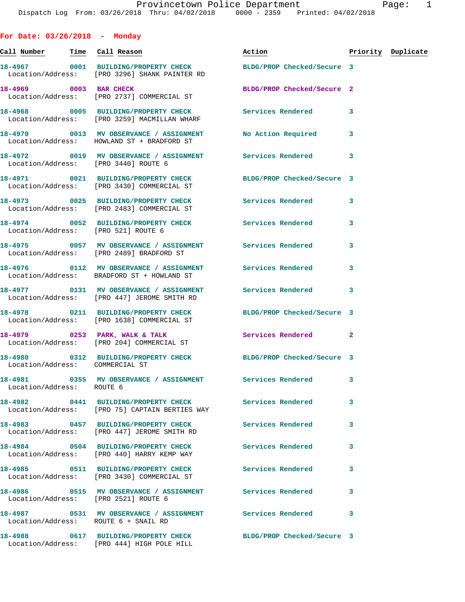**For Date: 03/26/2018 - Monday Call Number Time Call Reason Action Priority Duplicate 18-4967 0001 BUILDING/PROPERTY CHECK BLDG/PROP Checked/Secure 3**  Location/Address: [PRO 3296] SHANK PAINTER RD **18-4969 0003 BAR CHECK BLDG/PROP Checked/Secure 2**  Location/Address: [PRO 2737] COMMERCIAL ST **18-4968 0005 BUILDING/PROPERTY CHECK Services Rendered 3**  Location/Address: [PRO 3259] MACMILLAN WHARF **18-4970 0013 MV OBSERVANCE / ASSIGNMENT No Action Required 3**  Location/Address: HOWLAND ST + BRADFORD ST **18-4972 0019 MV OBSERVANCE / ASSIGNMENT Services Rendered 3**  Location/Address: [PRO 3440] ROUTE 6 **18-4971 0021 BUILDING/PROPERTY CHECK BLDG/PROP Checked/Secure 3**  Location/Address: [PRO 3430] COMMERCIAL ST **18-4973 0025 BUILDING/PROPERTY CHECK Services Rendered 3**  Location/Address: [PRO 2483] COMMERCIAL ST **18-4974 0052 BUILDING/PROPERTY CHECK Services Rendered 3**  Location/Address: [PRO 521] ROUTE 6 **18-4975 0057 MV OBSERVANCE / ASSIGNMENT Services Rendered 3**  Location/Address: [PRO 2489] BRADFORD ST **18-4976 0112 MV OBSERVANCE / ASSIGNMENT Services Rendered 3**  Location/Address: BRADFORD ST + HOWLAND ST **18-4977 0131 MV OBSERVANCE / ASSIGNMENT Services Rendered 3**  Location/Address: [PRO 447] JEROME SMITH RD **18-4978 0211 BUILDING/PROPERTY CHECK BLDG/PROP Checked/Secure 3**  Location/Address: [PRO 1638] COMMERCIAL ST **18-4979 0253 PARK, WALK & TALK Services Rendered 2**  Location/Address: [PRO 204] COMMERCIAL ST **18-4980 0312 BUILDING/PROPERTY CHECK BLDG/PROP Checked/Secure 3**  Location/Address: COMMERCIAL ST **18-4981 0355 MV OBSERVANCE / ASSIGNMENT Services Rendered 3**  Location/Address: ROUTE 6 **18-4982 0441 BUILDING/PROPERTY CHECK Services Rendered 3**  Location/Address: [PRO 75] CAPTAIN BERTIES WAY **18-4983 0457 BUILDING/PROPERTY CHECK Services Rendered 3**  Location/Address: [PRO 447] JEROME SMITH RD **18-4984 0504 BUILDING/PROPERTY CHECK Services Rendered 3**  Location/Address: [PRO 440] HARRY KEMP WAY **18-4985 0511 BUILDING/PROPERTY CHECK Services Rendered 3**  Location/Address: [PRO 3430] COMMERCIAL ST **18-4986 0515 MV OBSERVANCE / ASSIGNMENT Services Rendered 3**  Location/Address: [PRO 2521] ROUTE 6 **18-4987 0531 MV OBSERVANCE / ASSIGNMENT Services Rendered 3**  Location/Address: **18-4988 0617 BUILDING/PROPERTY CHECK BLDG/PROP Checked/Secure 3**  Location/Address: [PRO 444] HIGH POLE HILL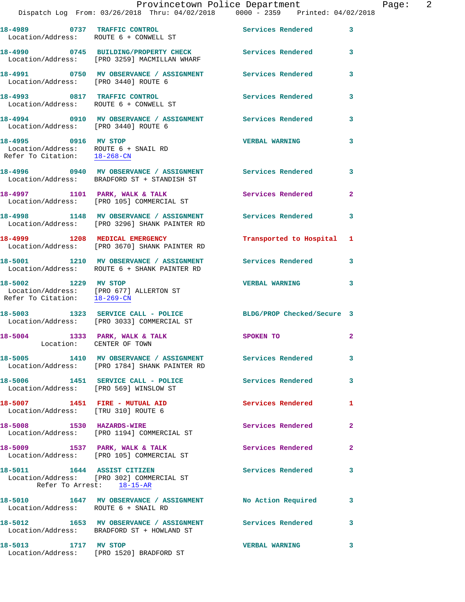|                                                                                              | Provincetown Police Department<br>Dispatch Log From: 03/26/2018 Thru: 04/02/2018 0000 - 2359 Printed: 04/02/2018 |                            |                |
|----------------------------------------------------------------------------------------------|------------------------------------------------------------------------------------------------------------------|----------------------------|----------------|
|                                                                                              | 18-4989 0737 TRAFFIC CONTROL<br>Location/Address: ROUTE 6 + CONWELL ST                                           | Services Rendered          | 3              |
|                                                                                              | 18-4990 0745 BUILDING/PROPERTY CHECK Services Rendered<br>Location/Address: [PRO 3259] MACMILLAN WHARF           |                            | 3              |
| Location/Address: [PRO 3440] ROUTE 6                                                         | 18-4991 0750 MV OBSERVANCE / ASSIGNMENT Services Rendered                                                        |                            | 3              |
|                                                                                              | 18-4993 0817 TRAFFIC CONTROL<br>Location/Address: ROUTE 6 + CONWELL ST                                           | <b>Services Rendered</b>   | 3              |
| Location/Address: [PRO 3440] ROUTE 6                                                         | 18-4994 0910 MV OBSERVANCE / ASSIGNMENT Services Rendered                                                        |                            | 3              |
| 18-4995 0916 MV STOP<br>Location/Address: ROUTE 6 + SNAIL RD<br>Refer To Citation: 18-268-CN |                                                                                                                  | <b>VERBAL WARNING</b>      | 3              |
|                                                                                              | Location/Address: BRADFORD ST + STANDISH ST                                                                      |                            | 3              |
|                                                                                              | 18-4997 1101 PARK, WALK & TALK<br>Location/Address: [PRO 105] COMMERCIAL ST                                      | <b>Services Rendered</b>   | $\mathbf{2}$   |
|                                                                                              | 18-4998 1148 MV OBSERVANCE / ASSIGNMENT<br>Location/Address: [PRO 3296] SHANK PAINTER RD                         | Services Rendered          | 3              |
|                                                                                              | 18-4999 1208 MEDICAL EMERGENCY<br>Location/Address: [PRO 3670] SHANK PAINTER RD                                  | Transported to Hospital    | 1              |
|                                                                                              | 18-5001 1210 MV OBSERVANCE / ASSIGNMENT Services Rendered<br>Location/Address: ROUTE 6 + SHANK PAINTER RD        |                            | 3              |
| 18-5002 1229 MV STOP                                                                         | Location/Address: [PRO 677] ALLERTON ST<br>Refer To Citation: 18-269-CN                                          | <b>VERBAL WARNING</b>      | 3              |
|                                                                                              | 18-5003 1323 SERVICE CALL - POLICE<br>Location/Address: [PRO 3033] COMMERCIAL ST                                 | BLDG/PROP Checked/Secure 3 |                |
| 18-5004 1333 PARK, WALK & TALK                                                               | Location: CENTER OF TOWN                                                                                         | SPOKEN TO                  | 2              |
|                                                                                              | 18-5005 1410 MV OBSERVANCE / ASSIGNMENT Services Rendered<br>Location/Address: [PRO 1784] SHANK PAINTER RD       |                            | 3              |
| Location/Address: [PRO 569] WINSLOW ST                                                       | 18-5006 1451 SERVICE CALL - POLICE                                                                               | <b>Services Rendered</b>   | 3              |
| 18-5007 1451 FIRE - MUTUAL AID<br>Location/Address: [TRU 310] ROUTE 6                        |                                                                                                                  | Services Rendered          | 1              |
|                                                                                              | 18-5008 1530 HAZARDS-WIRE<br>Location/Address: [PRO 1194] COMMERCIAL ST                                          | <b>Services Rendered</b>   | $\mathbf{2}$   |
|                                                                                              | 18-5009 1537 PARK, WALK & TALK<br>Location/Address: [PRO 105] COMMERCIAL ST                                      | Services Rendered          | $\overline{a}$ |
|                                                                                              | 18-5011 1644 ASSIST CITIZEN<br>Location/Address: [PRO 302] COMMERCIAL ST<br>Refer To Arrest: 18-15-AR            | <b>Services Rendered</b>   | 3              |
| Location/Address: ROUTE 6 + SNAIL RD                                                         | 18-5010 1647 MV OBSERVANCE / ASSIGNMENT No Action Required                                                       |                            | 3              |
|                                                                                              | 18-5012 1653 MV OBSERVANCE / ASSIGNMENT Services Rendered<br>Location/Address: BRADFORD ST + HOWLAND ST          |                            | 3              |
| 18-5013 1717 MV STOP                                                                         |                                                                                                                  | <b>VERBAL WARNING</b>      | 3              |

Location/Address: [PRO 1520] BRADFORD ST

Page:  $2$ <br>18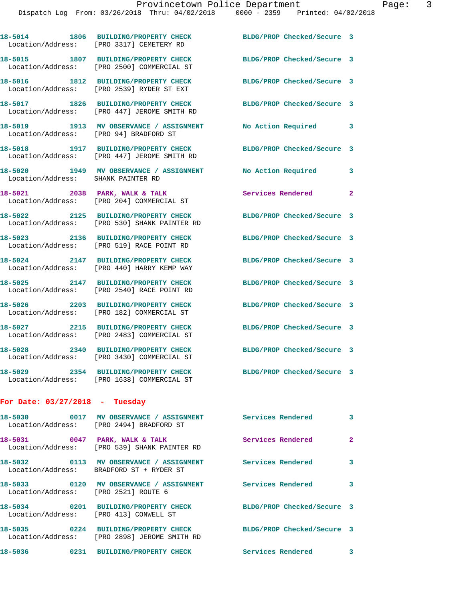Dispatch Log From: 03/26/2018 Thru: 04/02/2018 0000 - 2359 Printed: 04/02/2018

**18-5014 1806 BUILDING/PROPERTY CHECK BLDG/PROP Checked/Secure 3**  Location/Address: [PRO 3317] CEMETERY RD **18-5015 1807 BUILDING/PROPERTY CHECK BLDG/PROP Checked/Secure 3**  Location/Address: [PRO 2500] COMMERCIAL ST **18-5016 1812 BUILDING/PROPERTY CHECK BLDG/PROP Checked/Secure 3**  Location/Address: [PRO 2539] RYDER ST EXT **18-5017 1826 BUILDING/PROPERTY CHECK BLDG/PROP Checked/Secure 3**  Location/Address: [PRO 447] JEROME SMITH RD **18-5019 1913 MV OBSERVANCE / ASSIGNMENT No Action Required 3**  Location/Address: [PRO 94] BRADFORD ST **18-5018 1917 BUILDING/PROPERTY CHECK BLDG/PROP Checked/Secure 3**  Location/Address: [PRO 447] JEROME SMITH RD **18-5020 1949 MV OBSERVANCE / ASSIGNMENT No Action Required 3**  Location/Address: SHANK PAINTER RD 18-5021 2038 PARK, WALK & TALK **Services Rendered** 2 Location/Address: [PRO 204] COMMERCIAL ST **18-5022 2125 BUILDING/PROPERTY CHECK BLDG/PROP Checked/Secure 3**  Location/Address: [PRO 530] SHANK PAINTER RD **18-5023 2136 BUILDING/PROPERTY CHECK BLDG/PROP Checked/Secure 3**  Location/Address: [PRO 519] RACE POINT RD **18-5024 2147 BUILDING/PROPERTY CHECK BLDG/PROP Checked/Secure 3**  Location/Address: [PRO 440] HARRY KEMP WAY **18-5025 2147 BUILDING/PROPERTY CHECK BLDG/PROP Checked/Secure 3**  Location/Address: [PRO 2540] RACE POINT RD **18-5026 2203 BUILDING/PROPERTY CHECK BLDG/PROP Checked/Secure 3**  Location/Address: [PRO 182] COMMERCIAL ST **18-5027 2215 BUILDING/PROPERTY CHECK BLDG/PROP Checked/Secure 3**  Location/Address: [PRO 2483] COMMERCIAL ST **18-5028 2340 BUILDING/PROPERTY CHECK BLDG/PROP Checked/Secure 3**  Location/Address: [PRO 3430] COMMERCIAL ST **18-5029 2354 BUILDING/PROPERTY CHECK BLDG/PROP Checked/Secure 3**  Location/Address: [PRO 1638] COMMERCIAL ST **For Date: 03/27/2018 - Tuesday**

| 18-5030 0017                      | MV OBSERVANCE / ASSIGNMENT<br>Location/Address: [PRO 2494] BRADFORD ST | <b>Services Rendered</b>   | $\overline{3}$ |
|-----------------------------------|------------------------------------------------------------------------|----------------------------|----------------|
| 18-5031 0047<br>Location/Address: | PARK, WALK & TALK<br>[PRO 539] SHANK PAINTER RD                        | Services Rendered          | $\overline{2}$ |
|                                   | Location/Address: BRADFORD ST + RYDER ST                               | Services Rendered          | 3              |
| Location/Address:                 | [PRO 2521] ROUTE 6                                                     | <b>Services Rendered</b>   | 3              |
| Location/Address:                 | [PRO 413] CONWELL ST                                                   | BLDG/PROP Checked/Secure 3 |                |
| Location/Address:                 | 18-5035 0224 BUILDING/PROPERTY CHECK<br>[PRO 2898] JEROME SMITH RD     | BLDG/PROP Checked/Secure 3 |                |
| 18-5036<br>0231                   | <b>BUILDING/PROPERTY CHECK</b>                                         | Services Rendered          | 3              |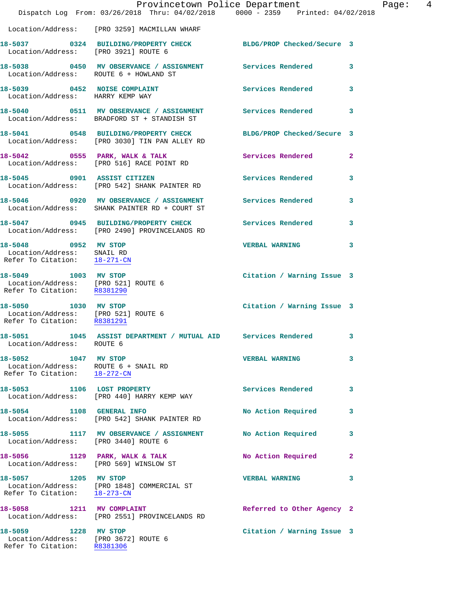|                                                                                                            | Dispatch Log From: 03/26/2018 Thru: 04/02/2018 0000 - 2359 Printed: 04/02/2018                                   | Provincetown Police Department | Page: 4      |
|------------------------------------------------------------------------------------------------------------|------------------------------------------------------------------------------------------------------------------|--------------------------------|--------------|
|                                                                                                            | Location/Address: [PRO 3259] MACMILLAN WHARF                                                                     |                                |              |
| Location/Address: [PRO 3921] ROUTE 6                                                                       | 18-5037 0324 BUILDING/PROPERTY CHECK BLDG/PROP Checked/Secure 3                                                  |                                |              |
| Location/Address: ROUTE 6 + HOWLAND ST                                                                     | 18-5038 0450 MV OBSERVANCE / ASSIGNMENT Services Rendered 3                                                      |                                |              |
| Location/Address: HARRY KEMP WAY                                                                           | 18-5039 0452 NOISE COMPLAINT                                                                                     | Services Rendered 3            |              |
|                                                                                                            | 18-5040 0511 MV OBSERVANCE / ASSIGNMENT Services Rendered 3<br>Location/Address: BRADFORD ST + STANDISH ST       |                                |              |
|                                                                                                            | 18-5041 0548 BUILDING/PROPERTY CHECK BLDG/PROP Checked/Secure 3<br>Location/Address: [PRO 3030] TIN PAN ALLEY RD |                                |              |
|                                                                                                            |                                                                                                                  | Services Rendered 2            |              |
|                                                                                                            | 18-5045 0901 ASSIST CITIZEN<br>Location/Address: [PRO 542] SHANK PAINTER RD                                      | <b>Services Rendered</b>       | $\mathbf{3}$ |
|                                                                                                            | 18-5046 0920 MV OBSERVANCE / ASSIGNMENT Services Rendered<br>Location/Address: SHANK PAINTER RD + COURT ST       |                                | $\mathbf{3}$ |
|                                                                                                            | 18-5047 0945 BUILDING/PROPERTY CHECK Services Rendered 3<br>Location/Address: [PRO 2490] PROVINCELANDS RD        |                                |              |
| 18-5048 0952 MV STOP<br>Location/Address: SNAIL RD<br>Refer To Citation: 18-271-CN                         |                                                                                                                  | VERBAL WARNING 3               |              |
| 18-5049 1003 MV STOP<br>Location/Address: [PRO 521] ROUTE 6<br>Refer To Citation: R8381290                 |                                                                                                                  | Citation / Warning Issue 3     |              |
| 18-5050 1030 MV STOP<br>Location/Address: [PRO 521] ROUTE 6<br>Refer To Citation: R8381291                 |                                                                                                                  | Citation / Warning Issue 3     |              |
| Location/Address: ROUTE 6                                                                                  | 18-5051 1045 ASSIST DEPARTMENT / MUTUAL AID Services Rendered 3                                                  |                                |              |
| 18-5052 1047 MV STOP<br>Location/Address: ROUTE 6 + SNAIL RD<br>Refer To Citation: $\frac{18-272-CN}{\pi}$ |                                                                                                                  | <b>VERBAL WARNING</b>          | $\mathbf{3}$ |
|                                                                                                            | 18-5053 1106 LOST PROPERTY<br>Location/Address: [PRO 440] HARRY KEMP WAY                                         | Services Rendered              | 3            |
| 18-5054 1108 GENERAL INFO                                                                                  | Location/Address: [PRO 542] SHANK PAINTER RD                                                                     | No Action Required             | $\mathbf{3}$ |
| Location/Address: [PRO 3440] ROUTE 6                                                                       | 18-5055 1117 MV OBSERVANCE / ASSIGNMENT                                                                          | No Action Required             | 3            |
|                                                                                                            | 18-5056 1129 PARK, WALK & TALK<br>Location/Address: [PRO 569] WINSLOW ST                                         | No Action Required             | $\mathbf{2}$ |
| 18-5057 1205 MV STOP<br>Refer To Citation: 18-273-CN                                                       | Location/Address: [PRO 1848] COMMERCIAL ST                                                                       | <b>VERBAL WARNING</b>          | $\mathbf{3}$ |
|                                                                                                            | 18-5058 1211 MV COMPLAINT<br>Location/Address: [PRO 2551] PROVINCELANDS RD                                       | Referred to Other Agency 2     |              |
| 18-5059 1228 MV STOP<br>Location/Address: [PRO 3672] ROUTE 6<br>Refer To Citation: R8381306                |                                                                                                                  | Citation / Warning Issue 3     |              |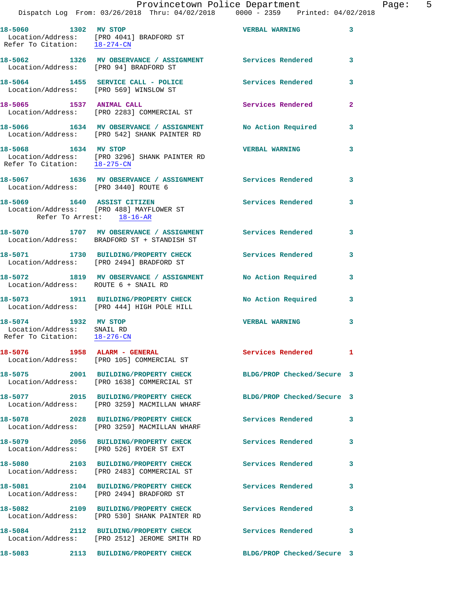|                                                                                    | Provincetown Police Department<br>Dispatch Log From: 03/26/2018 Thru: 04/02/2018 0000 - 2359 Printed: 04/02/2018 |                            |              |
|------------------------------------------------------------------------------------|------------------------------------------------------------------------------------------------------------------|----------------------------|--------------|
| Refer To Citation: 18-274-CN                                                       | 18-5060 1302 MV STOP<br>Location/Address: [PRO 4041] BRADFORD ST                                                 | <b>VERBAL WARNING</b>      | 3            |
| Location/Address: [PRO 94] BRADFORD ST                                             | 18-5062 1326 MV OBSERVANCE / ASSIGNMENT Services Rendered                                                        |                            | 3            |
|                                                                                    | 18-5064 1455 SERVICE CALL - POLICE<br>Location/Address: [PRO 569] WINSLOW ST                                     | <b>Services Rendered</b>   | 3            |
| 18-5065 1537 ANIMAL CALL                                                           | Location/Address: [PRO 2283] COMMERCIAL ST                                                                       | <b>Services Rendered</b>   | $\mathbf{2}$ |
|                                                                                    | 18-5066 1634 MV OBSERVANCE / ASSIGNMENT<br>Location/Address: [PRO 542] SHANK PAINTER RD                          | No Action Required         | 3            |
| Refer To Citation: 18-275-CN                                                       | 18-5068 1634 MV STOP<br>Location/Address: [PRO 3296] SHANK PAINTER RD                                            | <b>VERBAL WARNING</b>      | 3            |
| Location/Address: [PRO 3440] ROUTE 6                                               | 18-5067 1636 MV OBSERVANCE / ASSIGNMENT Services Rendered                                                        |                            | 3            |
| Refer To Arrest: 18-16-AR                                                          | 18-5069 1640 ASSIST CITIZEN<br>Location/Address: [PRO 488] MAYFLOWER ST                                          | <b>Services Rendered</b>   | 3            |
|                                                                                    | 18-5070 1707 MV OBSERVANCE / ASSIGNMENT Services Rendered<br>Location/Address: BRADFORD ST + STANDISH ST         |                            | 3            |
|                                                                                    | 18-5071 1730 BUILDING/PROPERTY CHECK<br>Location/Address: [PRO 2494] BRADFORD ST                                 | <b>Services Rendered</b>   | 3            |
| Location/Address: ROUTE 6 + SNAIL RD                                               | 18-5072 1819 MV OBSERVANCE / ASSIGNMENT No Action Required                                                       |                            | 3            |
|                                                                                    | 18-5073 1911 BUILDING/PROPERTY CHECK<br>Location/Address: [PRO 444] HIGH POLE HILL                               | No Action Required         | 3            |
| 18-5074 1932 MV STOP<br>Location/Address: SNAIL RD<br>Refer To Citation: 18-276-CN |                                                                                                                  | <b>VERBAL WARNING</b>      | 3            |
|                                                                                    | 18-5076 1958 ALARM - GENERAL<br>Location/Address: [PRO 105] COMMERCIAL ST                                        | Services Rendered          | 1            |
|                                                                                    | 18-5075 2001 BUILDING/PROPERTY CHECK<br>Location/Address: [PRO 1638] COMMERCIAL ST                               | BLDG/PROP Checked/Secure 3 |              |
|                                                                                    | 18-5077 2015 BUILDING/PROPERTY CHECK<br>Location/Address: [PRO 3259] MACMILLAN WHARF                             | BLDG/PROP Checked/Secure 3 |              |
|                                                                                    | 18-5078 2028 BUILDING/PROPERTY CHECK<br>Location/Address: [PRO 3259] MACMILLAN WHARF                             | Services Rendered          | 3            |
|                                                                                    | 18-5079 2056 BUILDING/PROPERTY CHECK<br>Location/Address: [PRO 526] RYDER ST EXT                                 | <b>Services Rendered</b>   | 3            |
|                                                                                    | 18-5080 2103 BUILDING/PROPERTY CHECK<br>Location/Address: [PRO 2483] COMMERCIAL ST                               | Services Rendered          | 3            |
|                                                                                    | 18-5081  2104 BUILDING/PROPERTY CHECK<br>Location/Address: [PRO 2494] BRADFORD ST                                | Services Rendered          | 3            |
|                                                                                    | 18-5082 2109 BUILDING/PROPERTY CHECK<br>Location/Address: [PRO 530] SHANK PAINTER RD                             | <b>Services Rendered</b>   | 3            |
|                                                                                    | 18-5084 2112 BUILDING/PROPERTY CHECK<br>Location/Address: [PRO 2512] JEROME SMITH RD                             | <b>Services Rendered</b>   | 3            |

**18-5083 2113 BUILDING/PROPERTY CHECK BLDG/PROP Checked/Secure 3** 

Page: 5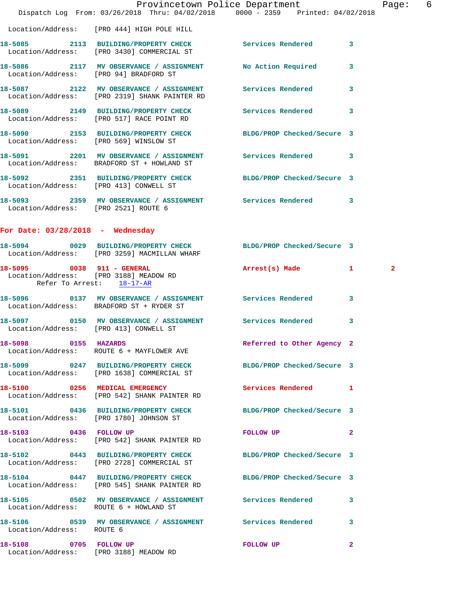|                                                                  | Dispatch Log From: 03/26/2018 Thru: 04/02/2018 0000 - 2359 Printed: 04/02/2018                                  | Provincetown Police Department |                | Page: 6      |  |
|------------------------------------------------------------------|-----------------------------------------------------------------------------------------------------------------|--------------------------------|----------------|--------------|--|
|                                                                  | Location/Address: [PRO 444] HIGH POLE HILL                                                                      |                                |                |              |  |
|                                                                  | 18-5085 2113 BUILDING/PROPERTY CHECK Services Rendered 3<br>Location/Address: [PRO 3430] COMMERCIAL ST          |                                |                |              |  |
| Location/Address: [PRO 94] BRADFORD ST                           | 18-5086 2117 MV OBSERVANCE / ASSIGNMENT No Action Required 3                                                    |                                |                |              |  |
|                                                                  | 18-5087 2122 MV OBSERVANCE / ASSIGNMENT Services Rendered 3<br>Location/Address: [PRO 2319] SHANK PAINTER RD    |                                |                |              |  |
|                                                                  | 18-5089 2149 BUILDING/PROPERTY CHECK Services Rendered<br>Location/Address: [PRO 517] RACE POINT RD             |                                | 3              |              |  |
|                                                                  | 18-5090 2153 BUILDING/PROPERTY CHECK BLDG/PROP Checked/Secure 3<br>Location/Address: [PRO 569] WINSLOW ST       |                                |                |              |  |
|                                                                  | 18-5091 2201 MV OBSERVANCE / ASSIGNMENT Services Rendered 3<br>Location/Address: BRADFORD ST + HOWLAND ST       |                                |                |              |  |
| Location/Address: [PRO 413] CONWELL ST                           | 18-5092 2351 BUILDING/PROPERTY CHECK BLDG/PROP Checked/Secure 3                                                 |                                |                |              |  |
|                                                                  | 18-5093 2359 MV OBSERVANCE / ASSIGNMENT Services Rendered 3<br>Location/Address: [PRO 2521] ROUTE 6             |                                |                |              |  |
| For Date: $03/28/2018$ - Wednesday                               |                                                                                                                 |                                |                |              |  |
|                                                                  | 18-5094 0029 BUILDING/PROPERTY CHECK BLDG/PROP Checked/Secure 3<br>Location/Address: [PRO 3259] MACMILLAN WHARF |                                |                |              |  |
| 18-5095 0038 911 - GENERAL<br>Refer To Arrest: 18-17-AR          | Location/Address: [PRO 3188] MEADOW RD                                                                          | Arrest(s) Made 1               |                | $\mathbf{2}$ |  |
|                                                                  | 18-5096 0137 MV OBSERVANCE / ASSIGNMENT Services Rendered 3<br>Location/Address: BRADFORD ST + RYDER ST         |                                |                |              |  |
| Location/Address: [PRO 413] CONWELL ST                           | 18-5097 0150 MV OBSERVANCE / ASSIGNMENT Services Rendered                                                       |                                | 3              |              |  |
| 18-5098 0155 HAZARDS                                             | Location/Address: ROUTE 6 + MAYFLOWER AVE                                                                       | Referred to Other Agency 2     |                |              |  |
|                                                                  | 18-5099 0247 BUILDING/PROPERTY CHECK BLDG/PROP Checked/Secure 3<br>Location/Address: [PRO 1638] COMMERCIAL ST   |                                |                |              |  |
|                                                                  | 18-5100 0256 MEDICAL EMERGENCY<br>Location/Address: [PRO 542] SHANK PAINTER RD                                  | Services Rendered 1            |                |              |  |
|                                                                  | 18-5101 0436 BUILDING/PROPERTY CHECK BLDG/PROP Checked/Secure 3<br>Location/Address: [PRO 1780] JOHNSON ST      |                                |                |              |  |
| 18-5103 0436 FOLLOW UP                                           | Location/Address: [PRO 542] SHANK PAINTER RD                                                                    | <b>FOLLOW UP</b>               | $\overline{2}$ |              |  |
|                                                                  | 18-5102 0443 BUILDING/PROPERTY CHECK BLDG/PROP Checked/Secure 3<br>Location/Address: [PRO 2728] COMMERCIAL ST   |                                |                |              |  |
|                                                                  | 18-5104 0447 BUILDING/PROPERTY CHECK<br>Location/Address: [PRO 545] SHANK PAINTER RD                            | BLDG/PROP Checked/Secure 3     |                |              |  |
| Location/Address: ROUTE 6 + HOWLAND ST                           | 18-5105 0502 MV OBSERVANCE / ASSIGNMENT Services Rendered                                                       |                                | 3              |              |  |
| Location/Address: ROUTE 6                                        | 18-5106 0539 MV OBSERVANCE / ASSIGNMENT Services Rendered 3                                                     |                                |                |              |  |
| 18-5108 0705 FOLLOW UP<br>Location/Address: [PRO 3188] MEADOW RD |                                                                                                                 | FOLLOW UP                      | $\mathbf{2}$   |              |  |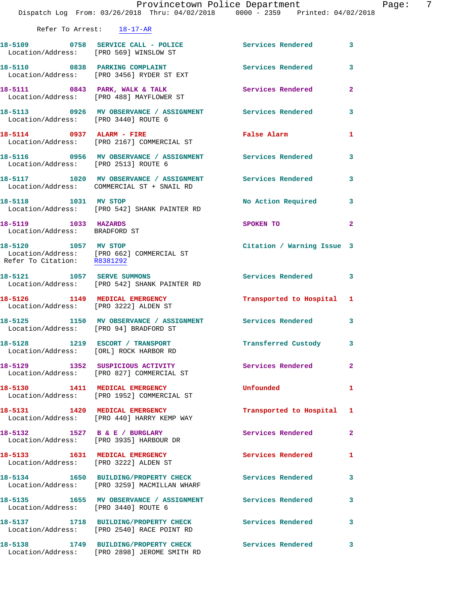|                                                                         | Provincetown Police Department<br>Dispatch Log From: 03/26/2018 Thru: 04/02/2018 0000 - 2359 Printed: 04/02/2018 |                            |              |
|-------------------------------------------------------------------------|------------------------------------------------------------------------------------------------------------------|----------------------------|--------------|
| Refer To Arrest: 18-17-AR                                               |                                                                                                                  |                            |              |
| Location/Address: [PRO 569] WINSLOW ST                                  | 18-5109 0758 SERVICE CALL - POLICE 3 Services Rendered                                                           |                            | 3            |
|                                                                         | 18-5110 0838 PARKING COMPLAINT<br>Location/Address: [PRO 3456] RYDER ST EXT                                      | <b>Services Rendered</b>   | 3            |
|                                                                         | 18-5111 0843 PARK, WALK & TALK<br>Location/Address: [PRO 488] MAYFLOWER ST                                       | Services Rendered          | $\mathbf{2}$ |
| Location/Address: [PRO 3440] ROUTE 6                                    | 18-5113 0926 MV OBSERVANCE / ASSIGNMENT Services Rendered                                                        |                            | 3            |
|                                                                         | 18-5114 0937 ALARM - FIRE<br>Location/Address: [PRO 2167] COMMERCIAL ST                                          | False Alarm                | 1            |
| Location/Address: [PRO 2513] ROUTE 6                                    | 18-5116 0956 MV OBSERVANCE / ASSIGNMENT Services Rendered                                                        |                            | 3            |
|                                                                         | 18-5117 1020 MV OBSERVANCE / ASSIGNMENT Services Rendered<br>Location/Address: COMMERCIAL ST + SNAIL RD          |                            | 3            |
| 18-5118 1031 MV STOP                                                    | Location/Address: [PRO 542] SHANK PAINTER RD                                                                     | No Action Required         | 3            |
| 18-5119 1033 HAZARDS<br>Location/Address: BRADFORD ST                   |                                                                                                                  | SPOKEN TO                  | $\mathbf{2}$ |
| 18-5120 1057 MV STOP<br>Refer To Citation: R8381292                     | Location/Address: [PRO 662] COMMERCIAL ST                                                                        | Citation / Warning Issue 3 |              |
| 18-5121 1057 SERVE SUMMONS                                              | Location/Address: [PRO 542] SHANK PAINTER RD                                                                     | Services Rendered          | 3            |
| Location/Address: [PRO 3222] ALDEN ST                                   | 18-5126 1149 MEDICAL EMERGENCY                                                                                   | Transported to Hospital 1  |              |
| Location/Address: [PRO 94] BRADFORD ST                                  | 18-5125 1150 MV OBSERVANCE / ASSIGNMENT Services Rendered                                                        |                            | 3            |
| 18-5128 1219 ESCORT / TRANSPORT                                         | Location/Address: [ORL] ROCK HARBOR RD                                                                           | Transferred Custody        | 3            |
|                                                                         | 18-5129 1352 SUSPICIOUS ACTIVITY<br>Location/Address: [PRO 827] COMMERCIAL ST                                    | <b>Services Rendered</b>   | $\mathbf{2}$ |
| 18-5130 1411 MEDICAL EMERGENCY                                          | Location/Address: [PRO 1952] COMMERCIAL ST                                                                       | Unfounded                  | 1            |
|                                                                         | 18-5131 1420 MEDICAL EMERGENCY<br>Location/Address: [PRO 440] HARRY KEMP WAY                                     | Transported to Hospital    | 1            |
| 18-5132 1527 B & E / BURGLARY                                           | Location/Address: [PRO 3935] HARBOUR DR                                                                          | <b>Services Rendered</b>   | 2            |
| 18-5133 1631 MEDICAL EMERGENCY<br>Location/Address: [PRO 3222] ALDEN ST |                                                                                                                  | Services Rendered          | 1            |
|                                                                         | 18-5134 1650 BUILDING/PROPERTY CHECK<br>Location/Address: [PRO 3259] MACMILLAN WHARF                             | Services Rendered          | 3            |
| Location/Address: [PRO 3440] ROUTE 6                                    | 18-5135 1655 MV OBSERVANCE / ASSIGNMENT Services Rendered                                                        |                            | 3            |
|                                                                         | 18-5137 1718 BUILDING/PROPERTY CHECK<br>Location/Address: [PRO 2540] RACE POINT RD                               | <b>Services Rendered</b>   | 3            |
|                                                                         | 18-5138 1749 BUILDING/PROPERTY CHECK                                                                             | Services Rendered          | 3            |

Location/Address: [PRO 2898] JEROME SMITH RD

Page: 7<br>18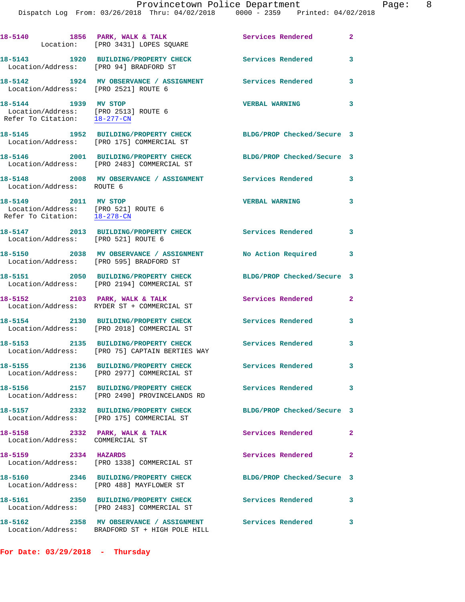|                                                                                                                | 18-5140 1856 PARK, WALK & TALK 1999 Services Rendered 2<br>Location: [PRO 3431] LOPES SQUARE            |                            |                            |
|----------------------------------------------------------------------------------------------------------------|---------------------------------------------------------------------------------------------------------|----------------------------|----------------------------|
| Location/Address: [PRO 94] BRADFORD ST                                                                         | 18-5143 1920 BUILDING/PROPERTY CHECK Services Rendered                                                  |                            | 3                          |
| Location/Address: [PRO 2521] ROUTE 6                                                                           | 18-5142 1924 MV OBSERVANCE / ASSIGNMENT Services Rendered 3                                             |                            |                            |
| 18-5144 1939 MV STOP<br>Location/Address: [PRO 2513] ROUTE 6<br>Refer To Citation: $\frac{18-277-CN}{28}$      |                                                                                                         | <b>VERBAL WARNING</b>      | $\overline{\mathbf{3}}$    |
|                                                                                                                | 18-5145 1952 BUILDING/PROPERTY CHECK<br>Location/Address: [PRO 175] COMMERCIAL ST                       | BLDG/PROP Checked/Secure 3 |                            |
|                                                                                                                | 18-5146 2001 BUILDING/PROPERTY CHECK<br>Location/Address: [PRO 2483] COMMERCIAL ST                      | BLDG/PROP Checked/Secure 3 |                            |
| Location/Address: ROUTE 6                                                                                      | 18-5148 2008 MV OBSERVANCE / ASSIGNMENT Services Rendered 3                                             |                            |                            |
| 18-5149 2011 MV STOP<br>Location/Address: [PRO 521] ROUTE 6<br>Refer To Citation: $\frac{18-278-\text{CN}}{1}$ |                                                                                                         | <b>VERBAL WARNING</b>      | 3                          |
| Location/Address: [PRO 521] ROUTE 6                                                                            | 18-5147 2013 BUILDING/PROPERTY CHECK Services Rendered 3                                                |                            |                            |
|                                                                                                                | 18-5150 2038 MV OBSERVANCE / ASSIGNMENT No Action Required 3<br>Location/Address: [PRO 595] BRADFORD ST |                            |                            |
|                                                                                                                | 18-5151 2050 BUILDING/PROPERTY CHECK<br>Location/Address: [PRO 2194] COMMERCIAL ST                      | BLDG/PROP Checked/Secure 3 |                            |
|                                                                                                                | 18-5152 2103 PARK, WALK & TALK<br>Location/Address: RYDER ST + COMMERCIAL ST                            | Services Rendered          | $\mathbf{2}$               |
|                                                                                                                | 18-5154 2130 BUILDING/PROPERTY CHECK<br>Location/Address: [PRO 2018] COMMERCIAL ST                      | <b>Services Rendered</b>   | $\overline{\mathbf{3}}$    |
|                                                                                                                | 18-5153 2135 BUILDING/PROPERTY CHECK<br>Location/Address: [PRO 75] CAPTAIN BERTIES WAY                  | <b>Services Rendered</b>   | $\overline{\phantom{a}}$ 3 |
|                                                                                                                | 18-5155 2136 BUILDING/PROPERTY CHECK<br>Location/Address: [PRO 2977] COMMERCIAL ST                      | Services Rendered          | 3                          |
| 18-5156                                                                                                        | 2157 BUILDING/PROPERTY CHECK<br>Location/Address: [PRO 2490] PROVINCELANDS RD                           | Services Rendered          | $\overline{\phantom{a}}$ 3 |
|                                                                                                                | 18-5157 2332 BUILDING/PROPERTY CHECK<br>Location/Address: [PRO 175] COMMERCIAL ST                       | BLDG/PROP Checked/Secure 3 |                            |
| 18-5158 2332 PARK, WALK & TALK<br>Location/Address: COMMERCIAL ST                                              |                                                                                                         | <b>Services Rendered</b>   | $\mathbf{2}$               |
| 18-5159 2334 HAZARDS                                                                                           | Location/Address: [PRO 1338] COMMERCIAL ST                                                              | Services Rendered          | $\mathbf{2}$               |
|                                                                                                                | 18-5160 2346 BUILDING/PROPERTY CHECK<br>Location/Address: [PRO 488] MAYFLOWER ST                        | BLDG/PROP Checked/Secure 3 |                            |
|                                                                                                                | 18-5161 2350 BUILDING/PROPERTY CHECK<br>Location/Address: [PRO 2483] COMMERCIAL ST                      | Services Rendered          | 3                          |
|                                                                                                                | 18-5162 2358 MV OBSERVANCE / ASSIGNMENT<br>Location/Address: BRADFORD ST + HIGH POLE HILL               | Services Rendered          | 3                          |

**For Date: 03/29/2018 - Thursday**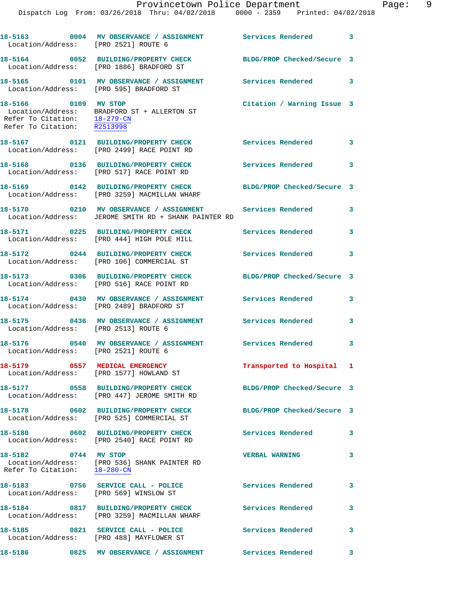| Location/Address: [PRO 2489] BRADFORD ST<br>Location/Address: [PRO 2513] ROUTE 6<br>Location/Address: [PRO 2521] ROUTE 6 | 18-5172 0244 BUILDING/PROPERTY CHECK<br>18-5173 0306 BUILDING/PROPERTY CHECK<br>Location/Address: [PRO 516] RACE POINT RD<br>18-5174 0430 MV OBSERVANCE / ASSIGNMENT Services Rendered<br>18-5175 0436 MV OBSERVANCE / ASSIGNMENT Services Rendered | <b>Services Rendered</b><br>BLDG/PROP Checked/Secure 3 | 3<br>3<br>3<br>3        |
|--------------------------------------------------------------------------------------------------------------------------|-----------------------------------------------------------------------------------------------------------------------------------------------------------------------------------------------------------------------------------------------------|--------------------------------------------------------|-------------------------|
|                                                                                                                          |                                                                                                                                                                                                                                                     |                                                        |                         |
|                                                                                                                          |                                                                                                                                                                                                                                                     |                                                        |                         |
|                                                                                                                          |                                                                                                                                                                                                                                                     |                                                        |                         |
|                                                                                                                          |                                                                                                                                                                                                                                                     |                                                        |                         |
| Location/Address: [PRO 106] COMMERCIAL ST                                                                                |                                                                                                                                                                                                                                                     |                                                        |                         |
| Location/Address: [PRO 444] HIGH POLE HILL                                                                               | 18-5171 0225 BUILDING/PROPERTY CHECK Services Rendered                                                                                                                                                                                              |                                                        | 3                       |
|                                                                                                                          | 18-5170 0210 MV OBSERVANCE / ASSIGNMENT Services Rendered<br>Location/Address: JEROME SMITH RD + SHANK PAINTER RD                                                                                                                                   |                                                        | 3                       |
|                                                                                                                          | 18-5169 0142 BUILDING/PROPERTY CHECK BLDG/PROP Checked/Secure 3<br>Location/Address: [PRO 3259] MACMILLAN WHARF                                                                                                                                     |                                                        |                         |
| 18-5168 0136 BUILDING/PROPERTY CHECK<br>Location/Address: [PRO 517] RACE POINT RD                                        |                                                                                                                                                                                                                                                     | <b>Services Rendered</b>                               | 3                       |
| 18-5167 0121 BUILDING/PROPERTY CHECK<br>Location/Address: [PRO 2499] RACE POINT RD                                       |                                                                                                                                                                                                                                                     | Services Rendered                                      | 3                       |
| 18-5166 0109 MV STOP                                                                                                     | Location/Address: BRADFORD ST + ALLERTON ST<br>Refer To Citation: $\frac{18-279-CN}{R2513998}$                                                                                                                                                      | Citation / Warning Issue 3                             |                         |
| Location/Address: [PRO 595] BRADFORD ST                                                                                  | 18-5165 0101 MV OBSERVANCE / ASSIGNMENT                                                                                                                                                                                                             | <b>Services Rendered</b>                               | $\overline{\mathbf{3}}$ |
| Location/Address: [PRO 1886] BRADFORD ST                                                                                 | 18-5164 0052 BUILDING/PROPERTY CHECK BLDG/PROP Checked/Secure 3                                                                                                                                                                                     |                                                        |                         |
| Location/Address: [PRO 2521] ROUTE 6                                                                                     | 18-5163 0004 MV OBSERVANCE / ASSIGNMENT Services Rendered                                                                                                                                                                                           |                                                        | 3                       |
|                                                                                                                          | Provincetown Police Department<br>Dispatch Log From: 03/26/2018 Thru: 04/02/2018 0000 - 2359 Printed: 04/02/2018                                                                                                                                    |                                                        |                         |

Location/Address: [PRO 1577] HOWLAND ST

**18-5177 0558 BUILDING/PROPERTY CHECK BLDG/PROP Checked/Secure 3**  Location/Address: [PRO 447] JEROME SMITH RD

**18-5178 0602 BUILDING/PROPERTY CHECK BLDG/PROP Checked/Secure 3**  Location/Address: [PRO 525] COMMERCIAL ST

**18-5180 0602 BUILDING/PROPERTY CHECK Services Rendered 3**  Location/Address: [PRO 2540] RACE POINT RD

**18-5182 0744 MV STOP VERBAL WARNING 3**  Location/Address: [PRO 536] SHANK PAINTER RD Refer To Citation: 18-280-CN

**18-5183 0756 SERVICE CALL - POLICE Services Rendered 3**  Location/Address: [PRO 569] WINSLOW ST

**18-5184 0817 BUILDING/PROPERTY CHECK Services Rendered 3**  Location/Address: [PRO 3259] MACMILLAN WHARF

18-5185 0821 SERVICE CALL - POLICE 3 Services Rendered 3 Location/Address: [PRO 488] MAYFLOWER ST

**18-5186 0825 MV OBSERVANCE / ASSIGNMENT Services Rendered 3** 

Page: 9<br>18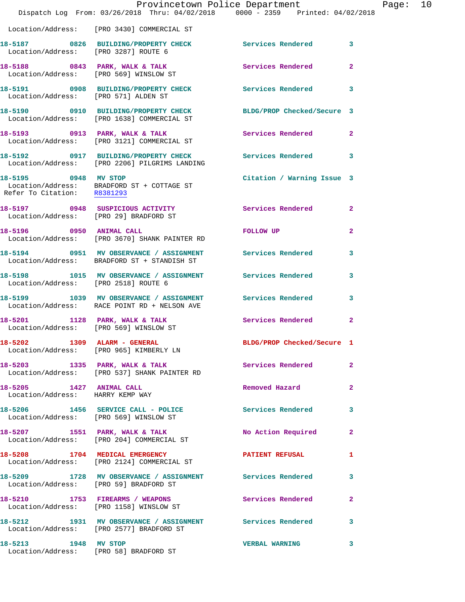|                                                              | Provincetown Police Department<br>Dispatch Log From: 03/26/2018 Thru: 04/02/2018 0000 - 2359 Printed: 04/02/2018 |                            |                         |
|--------------------------------------------------------------|------------------------------------------------------------------------------------------------------------------|----------------------------|-------------------------|
|                                                              | Location/Address: [PRO 3430] COMMERCIAL ST                                                                       |                            |                         |
| Location/Address: [PRO 3287] ROUTE 6                         | 18-5187 0826 BUILDING/PROPERTY CHECK                                                                             | Services Rendered          | 3                       |
|                                                              | 18-5188 0843 PARK, WALK & TALK 3 Services Rendered<br>Location/Address: [PRO 569] WINSLOW ST                     |                            | $\overline{2}$          |
| Location/Address: [PRO 571] ALDEN ST                         | 18-5191 0908 BUILDING/PROPERTY CHECK                                                                             | <b>Services Rendered</b>   | 3                       |
|                                                              | 18-5190 0910 BUILDING/PROPERTY CHECK BLDG/PROP Checked/Secure 3<br>Location/Address: [PRO 1638] COMMERCIAL ST    |                            |                         |
|                                                              | 18-5193 0913 PARK, WALK & TALK<br>Location/Address: [PRO 3121] COMMERCIAL ST                                     | Services Rendered          | $\overline{2}$          |
|                                                              | 18-5192 0917 BUILDING/PROPERTY CHECK Services Rendered<br>Location/Address: [PRO 2206] PILGRIMS LANDING          |                            | 3                       |
| 18-5195 0948 MV STOP                                         | Location/Address: BRADFORD ST + COTTAGE ST<br>Refer To Citation: R8381293                                        | Citation / Warning Issue 3 |                         |
|                                                              | 18-5197 0948 SUSPICIOUS ACTIVITY<br>Location/Address: [PRO 29] BRADFORD ST                                       | Services Rendered          | $\overline{2}$          |
| 18-5196 0950 ANIMAL CALL                                     | Location/Address: [PRO 3670] SHANK PAINTER RD                                                                    | FOLLOW UP                  | $\mathbf{2}$            |
|                                                              | 18-5194 0951 MV OBSERVANCE / ASSIGNMENT Services Rendered<br>Location/Address: BRADFORD ST + STANDISH ST         |                            | 3                       |
| Location/Address: [PRO 2518] ROUTE 6                         | 18-5198 1015 MV OBSERVANCE / ASSIGNMENT Services Rendered                                                        |                            | 3                       |
|                                                              | 18-5199 1039 MV OBSERVANCE / ASSIGNMENT Services Rendered<br>Location/Address: RACE POINT RD + NELSON AVE        |                            | 3                       |
|                                                              | 18-5201 1128 PARK, WALK & TALK<br>Location/Address: [PRO 569] WINSLOW ST                                         | Services Rendered          | $\overline{\mathbf{2}}$ |
|                                                              | 18-5202 1309 ALARM - GENERAL<br>Location/Address: [PRO 965] KIMBERLY LN                                          | BLDG/PROP Checked/Secure 1 |                         |
|                                                              | 18-5203 1335 PARK, WALK & TALK<br>Location/Address: [PRO 537] SHANK PAINTER RD                                   | Services Rendered          | $\overline{2}$          |
| 18-5205 1427 ANIMAL CALL<br>Location/Address: HARRY KEMP WAY |                                                                                                                  | Removed Hazard             | $\mathbf{2}$            |
|                                                              | 18-5206 1456 SERVICE CALL - POLICE<br>Location/Address: [PRO 569] WINSLOW ST                                     | Services Rendered          | 3                       |
|                                                              | 18-5207 1551 PARK, WALK & TALK<br>Location/Address: [PRO 204] COMMERCIAL ST                                      | No Action Required         | $\mathbf{2}$            |
|                                                              | 18-5208 1704 MEDICAL EMERGENCY<br>Location/Address: [PRO 2124] COMMERCIAL ST                                     | <b>PATIENT REFUSAL</b>     | 1                       |
| Location/Address: [PRO 59] BRADFORD ST                       | 18-5209 1728 MV OBSERVANCE / ASSIGNMENT Services Rendered                                                        |                            | 3                       |
|                                                              | 18-5210 1753 FIREARMS / WEAPONS<br>Location/Address: [PRO 1158] WINSLOW ST                                       | Services Rendered          | $\mathbf{2}$            |
|                                                              | 18-5212 1931 MV OBSERVANCE / ASSIGNMENT Services Rendered<br>Location/Address: [PRO 2577] BRADFORD ST            |                            | 3                       |
| 18-5213 1948 MV STOP                                         | Location/Address: [PRO 58] BRADFORD ST                                                                           | <b>VERBAL WARNING</b>      | 3                       |

Page: 10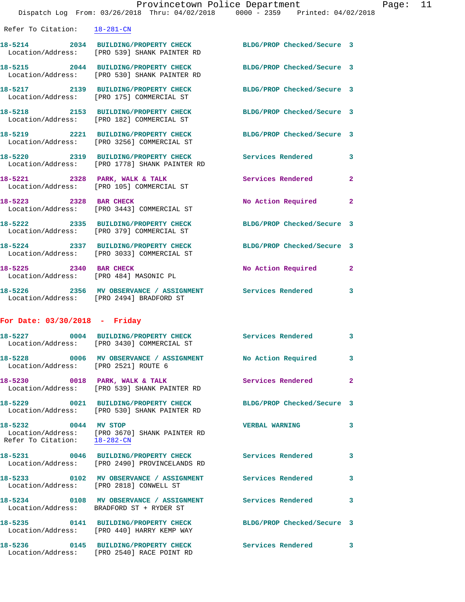|                    | Provincetown Police Department                                               |                                                                                | Page: | 11 |
|--------------------|------------------------------------------------------------------------------|--------------------------------------------------------------------------------|-------|----|
|                    |                                                                              | Dispatch Log From: 03/26/2018 Thru: 04/02/2018 0000 - 2359 Printed: 04/02/2018 |       |    |
| Refer To Citation: | $18 - 281 - CN$                                                              |                                                                                |       |    |
| 18-5214            | 2034 BUILDING/PROPERTY CHECK<br>Location/Address: [PRO 539] SHANK PAINTER RD | BLDG/PROP Checked/Secure 3                                                     |       |    |
| 18-5215            | 2044 BUILDING/PROPERTY CHECK<br>Location/Address: [PRO 530] SHANK PAINTER RD | BLDG/PROP Checked/Secure 3                                                     |       |    |
| 18-5217            | 2139 BUILDING/PROPERTY CHECK<br>Location/Address: [PRO 175] COMMERCIAL ST    | BLDG/PROP Checked/Secure 3                                                     |       |    |
| 18-5218            | 2153 BUILDING/PROPERTY CHECK<br>Location/Address: [PRO 182] COMMERCIAL ST    | BLDG/PROP Checked/Secure 3                                                     |       |    |

 Location/Address: [PRO 3256] COMMERCIAL ST **18-5220 2319 BUILDING/PROPERTY CHECK Services Rendered 3**  Location/Address: [PRO 1778] SHANK PAINTER RD 18-5221 2328 PARK, WALK & TALK **Services Rendered** 2

**18-5219 2221 BUILDING/PROPERTY CHECK BLDG/PROP Checked/Secure 3** 

 Location/Address: [PRO 105] COMMERCIAL ST 18-5223 2328 BAR CHECK No Action Required 2 Location/Address: [PRO 3443] COMMERCIAL ST **18-5222 2335 BUILDING/PROPERTY CHECK BLDG/PROP Checked/Secure 3** 

**18-5224 2337 BUILDING/PROPERTY CHECK BLDG/PROP Checked/Secure 3**  Location/Address: [PRO 3033] COMMERCIAL ST **18-5225 2340 BAR CHECK No Action Required 2**  Location/Address: [PRO 484] MASONIC PL **18-5226 2356 MV OBSERVANCE / ASSIGNMENT Services Rendered 3** 

Location/Address: [PRO 2494] BRADFORD ST

## **For Date: 03/30/2018 - Friday**

Location/Address: [PRO 379] COMMERCIAL ST

|                                                      | 18-5227       0004  BUILDING/PROPERTY_CHECK        Services_Rendered<br>Location/Address: [PRO 3430] COMMERCIAL ST |                            | $\overline{\mathbf{3}}$ |
|------------------------------------------------------|--------------------------------------------------------------------------------------------------------------------|----------------------------|-------------------------|
| Location/Address: [PRO 2521] ROUTE 6                 | 18-5228 0006 MV OBSERVANCE / ASSIGNMENT No Action Required 3                                                       |                            |                         |
|                                                      | 18-5230 0018 PARK, WALK & TALK<br>Location/Address: [PRO 539] SHANK PAINTER RD                                     | Services Rendered 2        |                         |
|                                                      | 18-5229 0021 BUILDING/PROPERTY CHECK<br>Location/Address: [PRO 530] SHANK PAINTER RD                               | BLDG/PROP Checked/Secure 3 |                         |
| 18-5232 0044 MV STOP<br>Refer To Citation: 18-282-CN | Location/Address: [PRO 3670] SHANK PAINTER RD                                                                      | <b>VERBAL WARNING</b>      | $\mathbf{3}$            |
|                                                      | 18-5231 0046 BUILDING/PROPERTY CHECK Services Rendered<br>Location/Address: [PRO 2490] PROVINCELANDS RD            |                            | $\mathbf{3}$            |
|                                                      | 18-5233 6102 MV OBSERVANCE / ASSIGNMENT Services Rendered<br>Location/Address: [PRO 2818] CONWELL ST               |                            | $\mathbf{3}$            |
|                                                      | 18-5234 0108 MV OBSERVANCE / ASSIGNMENT Services Rendered<br>Location/Address: BRADFORD ST + RYDER ST              |                            | $\overline{\mathbf{3}}$ |
|                                                      | 18-5235 0141 BUILDING/PROPERTY CHECK<br>Location/Address: [PRO 440] HARRY KEMP WAY                                 | BLDG/PROP Checked/Secure 3 |                         |
|                                                      | 18-5236 0145 BUILDING/PROPERTY CHECK<br>Location/Address: [PRO 2540] RACE POINT RD                                 | <b>Services Rendered</b>   | $\overline{\mathbf{3}}$ |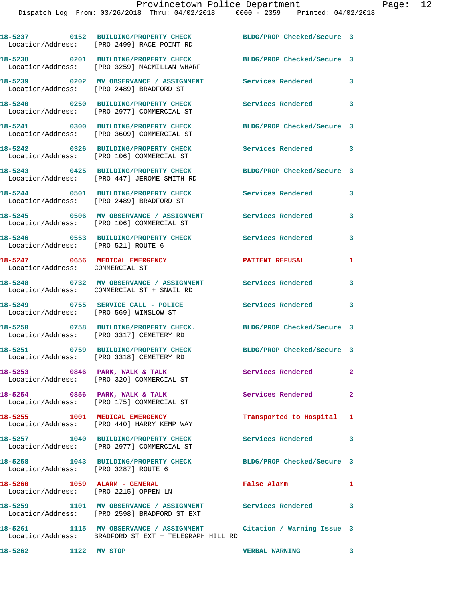|                                                                       | 18-5237 0152 BUILDING/PROPERTY CHECK<br>Location/Address: [PRO 2499] RACE POINT RD                                          | BLDG/PROP Checked/Secure 3 |                |
|-----------------------------------------------------------------------|-----------------------------------------------------------------------------------------------------------------------------|----------------------------|----------------|
|                                                                       | 18-5238 0201 BUILDING/PROPERTY CHECK<br>Location/Address: [PRO 3259] MACMILLAN WHARF                                        | BLDG/PROP Checked/Secure 3 |                |
|                                                                       | 18-5239 0202 MV OBSERVANCE / ASSIGNMENT<br>Location/Address: [PRO 2489] BRADFORD ST                                         | Services Rendered          | 3              |
|                                                                       | 18-5240 0250 BUILDING/PROPERTY CHECK<br>Location/Address: [PRO 2977] COMMERCIAL ST                                          | <b>Services Rendered</b>   | 3              |
|                                                                       | 18-5241 0300 BUILDING/PROPERTY CHECK<br>Location/Address: [PRO 3609] COMMERCIAL ST                                          | BLDG/PROP Checked/Secure 3 |                |
|                                                                       | 18-5242 0326 BUILDING/PROPERTY CHECK<br>Location/Address: [PRO 106] COMMERCIAL ST                                           | <b>Services Rendered</b>   | 3              |
|                                                                       | 18-5243 0425 BUILDING/PROPERTY CHECK<br>Location/Address: [PRO 447] JEROME SMITH RD                                         | BLDG/PROP Checked/Secure 3 |                |
|                                                                       | 18-5244 0501 BUILDING/PROPERTY CHECK<br>Location/Address: [PRO 2489] BRADFORD ST                                            | Services Rendered          | 3              |
|                                                                       | 18-5245 0506 MV OBSERVANCE / ASSIGNMENT Services Rendered<br>Location/Address: [PRO 106] COMMERCIAL ST                      |                            | 3              |
| Location/Address: [PRO 521] ROUTE 6                                   | 18-5246 0553 BUILDING/PROPERTY CHECK                                                                                        | <b>Services Rendered</b>   | 3              |
| 18-5247 0656 MEDICAL EMERGENCY<br>Location/Address: COMMERCIAL ST     |                                                                                                                             | <b>PATIENT REFUSAL</b>     | 1              |
|                                                                       | 18-5248 0732 MV OBSERVANCE / ASSIGNMENT<br>Location/Address: COMMERCIAL ST + SNAIL RD                                       | <b>Services Rendered</b>   | 3              |
| Location/Address: [PRO 569] WINSLOW ST                                | 18-5249 0755 SERVICE CALL - POLICE                                                                                          | Services Rendered          | 3              |
|                                                                       | 18-5250 0758 BUILDING/PROPERTY CHECK.<br>Location/Address: [PRO 3317] CEMETERY RD                                           | BLDG/PROP Checked/Secure 3 |                |
|                                                                       | 18-5251 0759 BUILDING/PROPERTY CHECK<br>Location/Address: [PRO 3318] CEMETERY RD                                            | BLDG/PROP Checked/Secure 3 |                |
|                                                                       | $18-5253$ 0846 PARK, WALK & TALK<br>Location/Address: [PRO 320] COMMERCIAL ST                                               | Services Rendered          | $\mathbf{2}$   |
| 18-5254 0856 PARK, WALK & TALK                                        | Location/Address: [PRO 175] COMMERCIAL ST                                                                                   | <b>Services Rendered</b>   | $\overline{2}$ |
|                                                                       | 18-5255 1001 MEDICAL EMERGENCY<br>Location/Address: [PRO 440] HARRY KEMP WAY                                                | Transported to Hospital 1  |                |
|                                                                       | 18-5257 1040 BUILDING/PROPERTY CHECK<br>Location/Address: [PRO 2977] COMMERCIAL ST                                          | Services Rendered 3        |                |
| Location/Address: [PRO 3287] ROUTE 6                                  | 18-5258 1043 BUILDING/PROPERTY CHECK                                                                                        | BLDG/PROP Checked/Secure 3 |                |
| 18-5260 1059 ALARM - GENERAL<br>Location/Address: [PRO 2215] OPPEN LN |                                                                                                                             | False Alarm                | $\mathbf{1}$   |
|                                                                       | 18-5259 1101 MV OBSERVANCE / ASSIGNMENT Services Rendered<br>Location/Address: [PRO 2598] BRADFORD ST EXT                   |                            | 3              |
|                                                                       | 18-5261 1115 MV OBSERVANCE / ASSIGNMENT Citation / Warning Issue 3<br>Location/Address: BRADFORD ST EXT + TELEGRAPH HILL RD |                            |                |

**18-5262 1122 MV STOP VERBAL WARNING 3**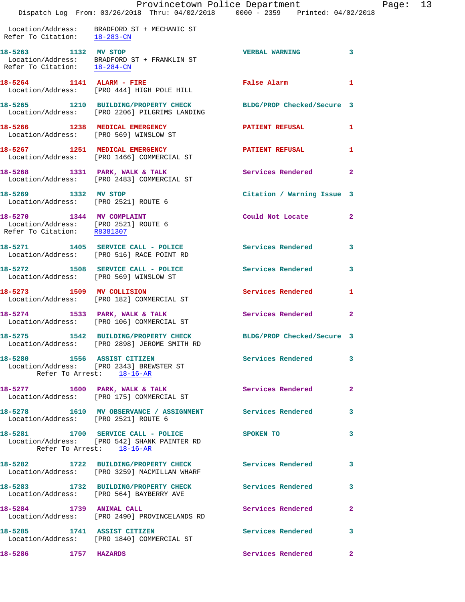|                                                                                                  | Provincetown Police Department<br>Dispatch Log From: 03/26/2018 Thru: 04/02/2018 0000 - 2359 Printed: 04/02/2018 |                            |                |
|--------------------------------------------------------------------------------------------------|------------------------------------------------------------------------------------------------------------------|----------------------------|----------------|
| Refer To Citation: 18-283-CN                                                                     | Location/Address: BRADFORD ST + MECHANIC ST                                                                      |                            |                |
| 18-5263 1132 MV STOP                                                                             | Location/Address: BRADFORD ST + FRANKLIN ST<br>Refer To Citation: $\frac{18-284-CN}{18-284-CN}$                  | <b>VERBAL WARNING</b>      | 3              |
|                                                                                                  | 18-5264 1141 ALARM - FIRE<br>Location/Address: [PRO 444] HIGH POLE HILL                                          | False Alarm                | 1              |
|                                                                                                  | 18-5265 1210 BUILDING/PROPERTY CHECK<br>Location/Address: [PRO 2206] PILGRIMS LANDING                            | BLDG/PROP Checked/Secure 3 |                |
| 18-5266 1238 MEDICAL EMERGENCY                                                                   | Location/Address: [PRO 569] WINSLOW ST                                                                           | <b>PATIENT REFUSAL</b>     | 1              |
|                                                                                                  | 18-5267 1251 MEDICAL EMERGENCY<br>Location/Address: [PRO 1466] COMMERCIAL ST                                     | <b>PATIENT REFUSAL</b>     | 1              |
|                                                                                                  | 18-5268 1331 PARK, WALK & TALK<br>Location/Address: [PRO 2483] COMMERCIAL ST                                     | <b>Services Rendered</b>   | $\overline{a}$ |
| 18-5269 1332 MV STOP<br>Location/Address: [PRO 2521] ROUTE 6                                     |                                                                                                                  | Citation / Warning Issue 3 |                |
| 18-5270 1344 MV COMPLAINT<br>Location/Address: [PRO 2521] ROUTE 6<br>Refer To Citation: R8381307 |                                                                                                                  | Could Not Locate           | $\overline{2}$ |
|                                                                                                  | 18-5271 1405 SERVICE CALL - POLICE<br>Location/Address: [PRO 516] RACE POINT RD                                  | <b>Services Rendered</b>   | 3              |
| Location/Address: [PRO 569] WINSLOW ST                                                           | 18-5272 1508 SERVICE CALL - POLICE                                                                               | Services Rendered          | 3              |
|                                                                                                  | 18-5273 1509 MV COLLISION<br>Location/Address: [PRO 182] COMMERCIAL ST                                           | Services Rendered          | 1              |
| $18-5274$ 1533 PARK, WALK & TALK                                                                 | Location/Address: [PRO 106] COMMERCIAL ST                                                                        | Services Rendered          | $\mathbf{2}$   |
| 18-5275                                                                                          | 1542 BUILDING/PROPERTY CHECK<br>Location/Address: [PRO 2898] JEROME SMITH RD                                     | BLDG/PROP Checked/Secure 3 |                |
| 18-5280 1556 ASSIST CITIZEN                                                                      | Location/Address: [PRO 2343] BREWSTER ST<br>Refer To Arrest: 18-16-AR                                            | <b>Services Rendered</b>   | 3              |
|                                                                                                  | 18-5277 1600 PARK, WALK & TALK<br>Location/Address: [PRO 175] COMMERCIAL ST                                      | <b>Services Rendered</b>   | $\mathbf{2}$   |
| Location/Address: [PRO 2521] ROUTE 6                                                             | 18-5278 1610 MV OBSERVANCE / ASSIGNMENT Services Rendered                                                        |                            | 3              |
|                                                                                                  | 18-5281 1700 SERVICE CALL - POLICE<br>Location/Address: [PRO 542] SHANK PAINTER RD<br>Refer To Arrest: 18-16-AR  | <b>SPOKEN TO</b>           | 3              |
|                                                                                                  | 18-5282 1722 BUILDING/PROPERTY CHECK Services Rendered<br>Location/Address: [PRO 3259] MACMILLAN WHARF           |                            | 3              |
|                                                                                                  | 18-5283 1732 BUILDING/PROPERTY CHECK<br>Location/Address: [PRO 564] BAYBERRY AVE                                 | Services Rendered          | 3              |
| 18-5284 1739 ANIMAL CALL                                                                         | Location/Address: [PRO 2490] PROVINCELANDS RD                                                                    | Services Rendered          | $\mathbf{2}$   |
| 18-5285 1741 ASSIST CITIZEN                                                                      | Location/Address: [PRO 1840] COMMERCIAL ST                                                                       | <b>Services Rendered</b>   | 3              |
| 18-5286 1757 HAZARDS                                                                             |                                                                                                                  | Services Rendered          | $\mathbf{2}$   |

Page:  $13$ <br>
<sup>2018</sup>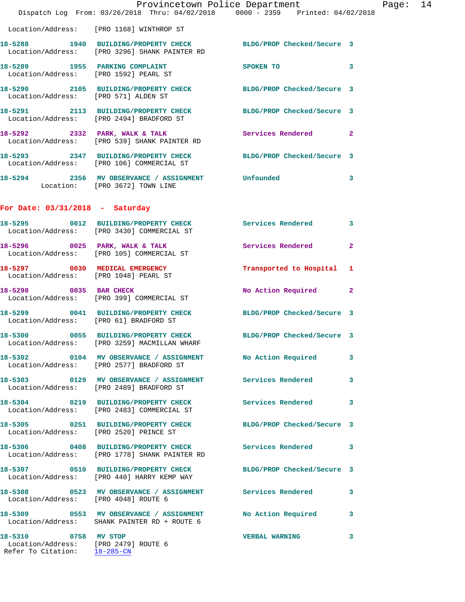|                                                                                              | Dispatch Log From: 03/26/2018 Thru: 04/02/2018 0000 - 2359 Printed: 04/02/2018                                   | Provincetown Police Department |              | Page: 14 |  |
|----------------------------------------------------------------------------------------------|------------------------------------------------------------------------------------------------------------------|--------------------------------|--------------|----------|--|
|                                                                                              | Location/Address: [PRO 1168] WINTHROP ST                                                                         |                                |              |          |  |
|                                                                                              | 18-5288 1940 BUILDING/PROPERTY CHECK BLDG/PROP Checked/Secure 3<br>Location/Address: [PRO 3296] SHANK PAINTER RD |                                |              |          |  |
| Location/Address: [PRO 1592] PEARL ST                                                        | 18-5289 1955 PARKING COMPLAINT SPOKEN TO                                                                         |                                | 3            |          |  |
| Location/Address: [PRO 571] ALDEN ST                                                         | 18-5290 2105 BUILDING/PROPERTY CHECK BLDG/PROP Checked/Secure 3                                                  |                                |              |          |  |
|                                                                                              | 18-5291 2113 BUILDING/PROPERTY CHECK BLDG/PROP Checked/Secure 3<br>Location/Address: [PRO 2494] BRADFORD ST      |                                |              |          |  |
|                                                                                              | 18-5292 2332 PARK, WALK & TALK 3 Services Rendered 2<br>Location/Address: [PRO 539] SHANK PAINTER RD             |                                |              |          |  |
|                                                                                              | 18-5293 2347 BUILDING/PROPERTY CHECK BLDG/PROP Checked/Secure 3<br>Location/Address: [PRO 106] COMMERCIAL ST     |                                |              |          |  |
|                                                                                              | 18-5294 2356 MV OBSERVANCE / ASSIGNMENT Unfounded<br>Location: [PRO 3672] TOWN LINE                              |                                | 3            |          |  |
| For Date: $03/31/2018$ - Saturday                                                            |                                                                                                                  |                                |              |          |  |
|                                                                                              | 18-5295 0012 BUILDING/PROPERTY CHECK Services Rendered 3<br>Location/Address: [PRO 3430] COMMERCIAL ST           |                                |              |          |  |
|                                                                                              | 18-5296 0025 PARK, WALK & TALK<br>Location/Address: [PRO 105] COMMERCIAL ST                                      | <b>Services Rendered</b>       | $\mathbf{2}$ |          |  |
|                                                                                              | 18-5297 0030 MEDICAL EMERGENCY<br>Location/Address: [PRO 1048] PEARL ST                                          | Transported to Hospital 1      |              |          |  |
|                                                                                              | 18-5298 0035 BAR CHECK<br>Location/Address: [PRO 399] COMMERCIAL ST                                              | No Action Required             | $\mathbf{2}$ |          |  |
| Location/Address: [PRO 61] BRADFORD ST                                                       | 18-5299 0041 BUILDING/PROPERTY CHECK BLDG/PROP Checked/Secure 3                                                  |                                |              |          |  |
|                                                                                              | 18-5300 0055 BUILDING/PROPERTY CHECK BLDG/PROP Checked/Secure 3<br>Location/Address: [PRO 3259] MACMILLAN WHARF  |                                |              |          |  |
|                                                                                              | 18-5302 0104 MV OBSERVANCE / ASSIGNMENT No Action Required 3<br>Location/Address: [PRO 2577] BRADFORD ST         |                                |              |          |  |
|                                                                                              | 18-5303 0129 MV OBSERVANCE / ASSIGNMENT Services Rendered<br>Location/Address: [PRO 2489] BRADFORD ST            |                                | 3            |          |  |
|                                                                                              | 18-5304 0219 BUILDING/PROPERTY CHECK Services Rendered 3<br>Location/Address: [PRO 2483] COMMERCIAL ST           |                                |              |          |  |
| Location/Address: [PRO 2520] PRINCE ST                                                       | 18-5305 0251 BUILDING/PROPERTY CHECK BLDG/PROP Checked/Secure 3                                                  |                                |              |          |  |
|                                                                                              | 18-5306 0408 BUILDING/PROPERTY CHECK Services Rendered 3<br>Location/Address: [PRO 1778] SHANK PAINTER RD        |                                |              |          |  |
|                                                                                              | 18-5307 0510 BUILDING/PROPERTY CHECK BLDG/PROP Checked/Secure 3<br>Location/Address: [PRO 440] HARRY KEMP WAY    |                                |              |          |  |
| Location/Address: [PRO 4048] ROUTE 6                                                         | 18-5308 0523 MV OBSERVANCE / ASSIGNMENT Services Rendered 3                                                      |                                |              |          |  |
|                                                                                              | 18-5309 0553 MV OBSERVANCE / ASSIGNMENT No Action Required 3<br>Location/Address: SHANK PAINTER RD + ROUTE 6     |                                |              |          |  |
| 18-5310 0758 MV STOP<br>Location/Address: [PRO 2479] ROUTE 6<br>Refer To Citation: 18-285-CN |                                                                                                                  | <b>VERBAL WARNING</b>          | 3            |          |  |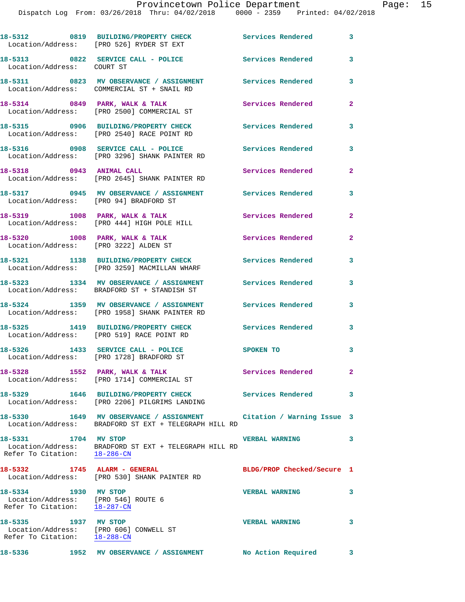|                                                                                                          | 18-5312 0819 BUILDING/PROPERTY CHECK<br>Location/Address: [PRO 526] RYDER ST EXT                                                                          | Services Rendered 3        |                         |
|----------------------------------------------------------------------------------------------------------|-----------------------------------------------------------------------------------------------------------------------------------------------------------|----------------------------|-------------------------|
| Location/Address: COURT ST                                                                               | 18-5313 0822 SERVICE CALL - POLICE Services Rendered                                                                                                      |                            | 3                       |
|                                                                                                          | 18-5311 0823 MV OBSERVANCE / ASSIGNMENT Services Rendered<br>Location/Address: COMMERCIAL ST + SNAIL RD                                                   |                            | 3                       |
|                                                                                                          | 18-5314 0849 PARK, WALK & TALK<br>Location/Address: [PRO 2500] COMMERCIAL ST                                                                              | <b>Services Rendered</b>   | $\mathbf{2}$            |
|                                                                                                          | 18-5315 0906 BUILDING/PROPERTY CHECK<br>Location/Address: [PRO 2540] RACE POINT RD                                                                        | Services Rendered          | 3                       |
|                                                                                                          | 18-5316 0908 SERVICE CALL - POLICE<br>Location/Address: [PRO 3296] SHANK PAINTER RD                                                                       | <b>Services Rendered</b>   | 3                       |
| 18-5318 0943 ANIMAL CALL                                                                                 | Location/Address: [PRO 2645] SHANK PAINTER RD                                                                                                             | Services Rendered          | $\mathbf{2}$            |
| Location/Address: [PRO 94] BRADFORD ST                                                                   | 18-5317 0945 MV OBSERVANCE / ASSIGNMENT Services Rendered                                                                                                 |                            | 3                       |
|                                                                                                          | 18-5319 1008 PARK, WALK & TALK<br>Location/Address: [PRO 444] HIGH POLE HILL                                                                              | <b>Services Rendered</b>   | $\overline{2}$          |
| 18-5320 1008 PARK, WALK & TALK                                                                           | Location/Address: [PRO 3222] ALDEN ST                                                                                                                     | <b>Services Rendered</b>   | $\overline{2}$          |
|                                                                                                          | 18-5321 1138 BUILDING/PROPERTY CHECK<br>Location/Address: [PRO 3259] MACMILLAN WHARF                                                                      | Services Rendered          | 3                       |
|                                                                                                          | 18-5323 1334 MV OBSERVANCE / ASSIGNMENT Services Rendered<br>Location/Address: BRADFORD ST + STANDISH ST                                                  |                            | 3                       |
|                                                                                                          | 18-5324 1359 MV OBSERVANCE / ASSIGNMENT<br>Location/Address: [PRO 1958] SHANK PAINTER RD                                                                  | Services Rendered          | 3                       |
|                                                                                                          | 18-5325 1419 BUILDING/PROPERTY CHECK Services Rendered<br>Location/Address: [PRO 519] RACE POINT RD                                                       |                            | 3                       |
|                                                                                                          | 18-5326 1433 SERVICE CALL - POLICE<br>Location/Address: [PRO 1728] BRADFORD ST                                                                            | SPOKEN TO                  | 3                       |
|                                                                                                          | 18-5328 1552 PARK, WALK & TALK<br>Location/Address: [PRO 1714] COMMERCIAL ST                                                                              | <b>Services Rendered</b>   |                         |
|                                                                                                          | 18-5329 1646 BUILDING/PROPERTY CHECK Services Rendered 3<br>Location/Address: [PRO 2206] PILGRIMS LANDING                                                 |                            |                         |
|                                                                                                          | 18-5330             1649    MV OBSERVANCE / ASSIGNMENT              Citation / Warning Issue   3<br>Location/Address: BRADFORD ST EXT + TELEGRAPH HILL RD |                            |                         |
| 18-5331 1704 MV STOP<br>Refer To Citation: 18-286-CN                                                     | Location/Address: BRADFORD ST EXT + TELEGRAPH HILL RD                                                                                                     | <b>VERBAL WARNING</b>      | 3                       |
| 18-5332 1745 ALARM - GENERAL                                                                             | Location/Address: [PRO 530] SHANK PAINTER RD                                                                                                              | BLDG/PROP Checked/Secure 1 |                         |
| 18-5334 1930 MV STOP<br>Location/Address: [PRO 546] ROUTE 6<br>Refer To Citation: $\frac{18-287-CN}{\ }$ |                                                                                                                                                           | <b>VERBAL WARNING</b>      | $\overline{\mathbf{3}}$ |
| 18-5335 1937 MV STOP<br>Location/Address: [PRO 606] CONWELL ST<br>Refer To Citation: 18-288-CN           |                                                                                                                                                           | <b>VERBAL WARNING</b>      | 3                       |
| 18-5336                                                                                                  | 1952 MV OBSERVANCE / ASSIGNMENT No Action Required 3                                                                                                      |                            |                         |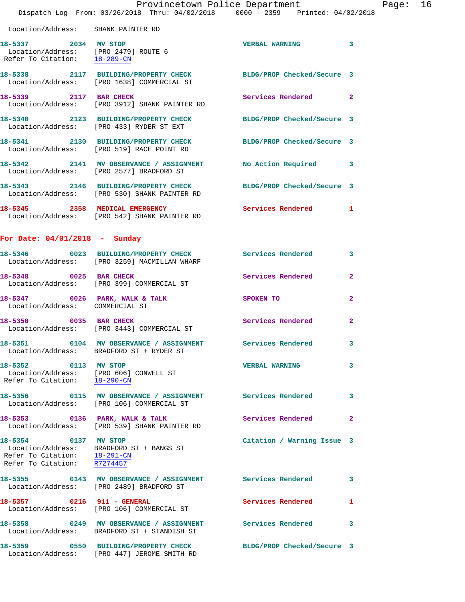|                                                                                     | Provincetown Police Department<br>Dispatch Log From: 03/26/2018 Thru: 04/02/2018 0000 - 2359 Printed: 04/02/2018 |                            |                |
|-------------------------------------------------------------------------------------|------------------------------------------------------------------------------------------------------------------|----------------------------|----------------|
| Location/Address: SHANK PAINTER RD                                                  |                                                                                                                  |                            |                |
| 18-5337 2034 MV STOP<br>Refer To Citation: $18-289$ -CN                             | Location/Address: [PRO 2479] ROUTE 6                                                                             | VERBAL WARNING 3           |                |
|                                                                                     | 18-5338 2117 BUILDING/PROPERTY CHECK BLDG/PROP Checked/Secure 3<br>Location/Address: [PRO 1638] COMMERCIAL ST    |                            |                |
| 18-5339 2117 BAR CHECK                                                              | Location/Address: [PRO 3912] SHANK PAINTER RD                                                                    | Services Rendered 2        |                |
|                                                                                     | 18-5340 2123 BUILDING/PROPERTY CHECK BLDG/PROP Checked/Secure 3<br>Location/Address: [PRO 433] RYDER ST EXT      |                            |                |
|                                                                                     | 18-5341 2130 BUILDING/PROPERTY CHECK BLDG/PROP Checked/Secure 3<br>Location/Address: [PRO 519] RACE POINT RD     |                            |                |
|                                                                                     | 18-5342 2141 MV OBSERVANCE / ASSIGNMENT No Action Required 3<br>Location/Address: [PRO 2577] BRADFORD ST         |                            |                |
|                                                                                     | 18-5343 2146 BUILDING/PROPERTY CHECK BLDG/PROP Checked/Secure 3<br>Location/Address: [PRO 530] SHANK PAINTER RD  |                            |                |
|                                                                                     | 18-5345 2358 MEDICAL EMERGENCY<br>Location/Address: [PRO 542] SHANK PAINTER RD                                   | Services Rendered          | 1              |
| For Date: $04/01/2018$ - Sunday                                                     |                                                                                                                  |                            |                |
|                                                                                     | 18-5346 0023 BUILDING/PROPERTY CHECK Services Rendered 3<br>  Location/Address: [PRO 3259] MACMILLAN WHARF       |                            |                |
| 18-5348 0025 BAR CHECK                                                              | Location/Address: [PRO 399] COMMERCIAL ST                                                                        | Services Rendered          | $\mathbf{2}$   |
| Location/Address: COMMERCIAL ST                                                     | 18-5347 0026 PARK, WALK & TALK 2008 SPOKEN TO                                                                    |                            | $\overline{a}$ |
|                                                                                     | 18-5350 0035 BAR CHECK<br>Location/Address: [PRO 3443] COMMERCIAL ST                                             | Services Rendered          | $\overline{a}$ |
|                                                                                     | 18-5351 0104 MV OBSERVANCE / ASSIGNMENT<br>Location/Address: BRADFORD ST + RYDER ST                              | <b>Services Rendered</b>   | 3              |
| 18-5352 0113 MV STOP                                                                | Location/Address: [PRO 606] CONWELL ST<br>Refer To Citation: 18-290-CN                                           | <b>VERBAL WARNING</b>      | 3              |
|                                                                                     | 18-5356   0115 MV OBSERVANCE / ASSIGNMENT   Services Rendered<br>Location/Address: [PRO 106] COMMERCIAL ST       |                            | 3              |
| 18-5353 0136 PARK, WALK & TALK                                                      | Location/Address: [PRO 539] SHANK PAINTER RD                                                                     | Services Rendered          | $\mathbf{2}$   |
| 18-5354 0137 MV STOP<br>Refer To Citation: 18-291-CN<br>Refer To Citation: R7274457 | Location/Address: BRADFORD ST + BANGS ST                                                                         | Citation / Warning Issue 3 |                |
|                                                                                     | 18-5355 0143 MV OBSERVANCE / ASSIGNMENT Services Rendered<br>Location/Address: [PRO 2489] BRADFORD ST            |                            | 3              |
| 18-5357 0216 911 - GENERAL                                                          | Location/Address: [PRO 106] COMMERCIAL ST                                                                        | Services Rendered          | 1              |
|                                                                                     | 18-5358 0249 MV OBSERVANCE / ASSIGNMENT Services Rendered<br>Location/Address: BRADFORD ST + STANDISH ST         |                            | 3              |
| 18-5359                                                                             | 0550 BUILDING/PROPERTY CHECK                                                                                     | BLDG/PROP Checked/Secure 3 |                |

Location/Address: [PRO 447] JEROME SMITH RD

Page: 16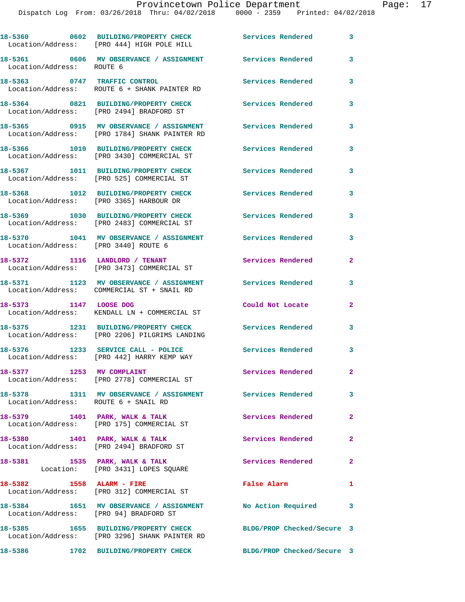|                                      | 18-5360 0602 BUILDING/PROPERTY CHECK<br>Location/Address: [PRO 444] HIGH POLE HILL                               | <b>Services Rendered</b> | 3              |
|--------------------------------------|------------------------------------------------------------------------------------------------------------------|--------------------------|----------------|
| Location/Address: ROUTE 6            | 18-5361 0606 MV OBSERVANCE / ASSIGNMENT Services Rendered                                                        |                          | 3              |
|                                      | 18-5363 0747 TRAFFIC CONTROL<br>Location/Address: ROUTE 6 + SHANK PAINTER RD                                     | Services Rendered        | 3              |
|                                      | 18-5364 0821 BUILDING/PROPERTY CHECK<br>Location/Address: [PRO 2494] BRADFORD ST                                 | Services Rendered        | 3              |
|                                      | 18-5365 0915 MV OBSERVANCE / ASSIGNMENT<br>Location/Address: [PRO 1784] SHANK PAINTER RD                         | <b>Services Rendered</b> | 3              |
|                                      | 18-5366 1010 BUILDING/PROPERTY CHECK<br>Location/Address: [PRO 3430] COMMERCIAL ST                               | Services Rendered        | 3              |
|                                      | 18-5367 1011 BUILDING/PROPERTY CHECK<br>Location/Address: [PRO 525] COMMERCIAL ST                                | Services Rendered        | 3              |
|                                      | 18-5368 1012 BUILDING/PROPERTY CHECK<br>Location/Address: [PRO 3365] HARBOUR DR                                  | Services Rendered        | 3              |
|                                      | 18-5369 1030 BUILDING/PROPERTY CHECK<br>Location/Address: [PRO 2483] COMMERCIAL ST                               | Services Rendered        | 3              |
| Location/Address: [PRO 3440] ROUTE 6 | 18-5370 1041 MV OBSERVANCE / ASSIGNMENT Services Rendered                                                        |                          | 3              |
| 18-5372 1116 LANDLORD / TENANT       | Location/Address: [PRO 3473] COMMERCIAL ST                                                                       | Services Rendered        | $\mathbf{2}$   |
|                                      | 18-5371 1123 MV OBSERVANCE / ASSIGNMENT<br>Location/Address: COMMERCIAL ST + SNAIL RD                            | Services Rendered        | 3              |
| 18-5373 1147 LOOSE DOG               | Location/Address: KENDALL LN + COMMERCIAL ST                                                                     | Could Not Locate         | $\mathbf{2}$   |
|                                      | 18-5375 1231 BUILDING/PROPERTY CHECK<br>Location/Address: [PRO 2206] PILGRIMS LANDING                            | Services Rendered        | 3              |
|                                      | 18-5376 1233 SERVICE CALL - POLICE<br>Location/Address: [PRO 442] HARRY KEMP WAY                                 | Services Rendered        | 3              |
|                                      | 18-5377 1253 MV COMPLAINT<br>Location/Address: [PRO 2778] COMMERCIAL ST                                          | Services Rendered        | $\mathbf{2}$   |
| Location/Address: ROUTE 6 + SNAIL RD | 18-5378 1311 MV OBSERVANCE / ASSIGNMENT Services Rendered 3                                                      |                          |                |
|                                      | 18-5379 1401 PARK, WALK & TALK<br>Location/Address: [PRO 175] COMMERCIAL ST                                      | <b>Services Rendered</b> | $\mathbf{2}$   |
|                                      | 18-5380 1401 PARK, WALK & TALK<br>Location/Address: [PRO 2494] BRADFORD ST                                       | Services Rendered 2      |                |
|                                      | 18-5381 1535 PARK, WALK & TALK<br>Location: [PRO 3431] LOPES SQUARE                                              | Services Rendered        | $\overline{2}$ |
| 18-5382 1558 ALARM - FIRE            | Location/Address: [PRO 312] COMMERCIAL ST                                                                        | False Alarm              | $\mathbf{1}$   |
|                                      | 18-5384 1651 MV OBSERVANCE / ASSIGNMENT No Action Required 3<br>Location/Address: [PRO 94] BRADFORD ST           |                          |                |
|                                      | 18-5385 1655 BUILDING/PROPERTY CHECK BLDG/PROP Checked/Secure 3<br>Location/Address: [PRO 3296] SHANK PAINTER RD |                          |                |
|                                      | 18-5386 1702 BUILDING/PROPERTY CHECK BLDG/PROP Checked/Secure 3                                                  |                          |                |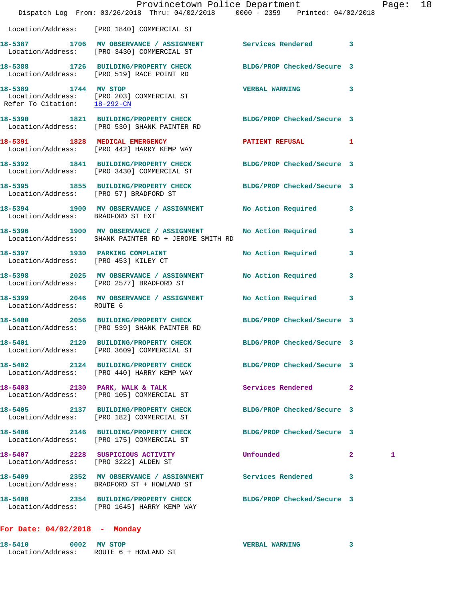|                                        | Provincetown Police Department<br>Dispatch Log From: 03/26/2018 Thru: 04/02/2018 0000 - 2359 Printed: 04/02/2018     |                            |              | Page: 18 |  |
|----------------------------------------|----------------------------------------------------------------------------------------------------------------------|----------------------------|--------------|----------|--|
|                                        | Location/Address: [PRO 1840] COMMERCIAL ST                                                                           |                            |              |          |  |
|                                        | 18-5387 1706 MV OBSERVANCE / ASSIGNMENT Services Rendered 3<br>Location/Address: [PRO 3430] COMMERCIAL ST            |                            |              |          |  |
|                                        | 18-5388 1726 BUILDING/PROPERTY CHECK BLDG/PROP Checked/Secure 3<br>Location/Address: [PRO 519] RACE POINT RD         |                            |              |          |  |
| 18-5389 1744 MV STOP                   | Location/Address: [PRO 203] COMMERCIAL ST<br>Refer To Citation: 18-292-CN                                            | VERBAL WARNING 3           |              |          |  |
|                                        | 18-5390 1821 BUILDING/PROPERTY CHECK BLDG/PROP Checked/Secure 3<br>Location/Address: [PRO 530] SHANK PAINTER RD      |                            |              |          |  |
|                                        | 18-5391 1828 MEDICAL EMERGENCY<br>Location/Address: [PRO 442] HARRY KEMP WAY                                         | PATIENT REFUSAL 1          |              |          |  |
|                                        | 18-5392 1841 BUILDING/PROPERTY CHECK BLDG/PROP Checked/Secure 3<br>Location/Address: [PRO 3430] COMMERCIAL ST        |                            |              |          |  |
| Location/Address: [PRO 57] BRADFORD ST | 18-5395 1855 BUILDING/PROPERTY CHECK BLDG/PROP Checked/Secure 3                                                      |                            |              |          |  |
| Location/Address: BRADFORD ST EXT      | 18-5394 1900 MV OBSERVANCE / ASSIGNMENT No Action Required 3                                                         |                            |              |          |  |
|                                        | 18-5396 1900 MV OBSERVANCE / ASSIGNMENT No Action Required 3<br>Location/Address: SHANK PAINTER RD + JEROME SMITH RD |                            |              |          |  |
|                                        | 18-5397 1930 PARKING COMPLAINT<br>Location/Address: [PRO 453] KILEY CT                                               | No Action Required 3       |              |          |  |
|                                        | 18-5398 2025 MV OBSERVANCE / ASSIGNMENT No Action Required<br>Location/Address: [PRO 2577] BRADFORD ST               |                            | $\mathbf{3}$ |          |  |
| Location/Address: ROUTE 6              | 18-5399 2046 MV OBSERVANCE / ASSIGNMENT No Action Required 3                                                         |                            |              |          |  |
|                                        | 18-5400 2056 BUILDING/PROPERTY CHECK BLDG/PROP Checked/Secure 3<br>Location/Address: [PRO 539] SHANK PAINTER RD      |                            |              |          |  |
|                                        | 18-5401 2120 BUILDING/PROPERTY CHECK<br>Location/Address: [PRO 3609] COMMERCIAL ST                                   | BLDG/PROP Checked/Secure 3 |              |          |  |
|                                        | 18-5402 2124 BUILDING/PROPERTY CHECK BLDG/PROP Checked/Secure 3<br>Location/Address: [PRO 440] HARRY KEMP WAY        |                            |              |          |  |
|                                        | 18-5403 2130 PARK, WALK & TALK<br>Location/Address: [PRO 105] COMMERCIAL ST                                          | Services Rendered 2        |              |          |  |
|                                        | 18-5405 2137 BUILDING/PROPERTY CHECK<br>Location/Address: [PRO 182] COMMERCIAL ST                                    | BLDG/PROP Checked/Secure 3 |              |          |  |
|                                        | 18-5406 2146 BUILDING/PROPERTY CHECK BLDG/PROP Checked/Secure 3<br>Location/Address: [PRO 175] COMMERCIAL ST         |                            |              |          |  |
| Location/Address: [PRO 3222] ALDEN ST  | 18-5407 2228 SUSPICIOUS ACTIVITY                                                                                     | Unfounded                  | $\mathbf{2}$ | 1        |  |
|                                        | 18-5409 2352 MV OBSERVANCE / ASSIGNMENT Services Rendered 3<br>Location/Address: BRADFORD ST + HOWLAND ST            |                            |              |          |  |
|                                        | 18-5408 2354 BUILDING/PROPERTY CHECK BLDG/PROP Checked/Secure 3<br>Location/Address: [PRO 1645] HARRY KEMP WAY       |                            |              |          |  |
|                                        |                                                                                                                      |                            |              |          |  |

**For Date: 04/02/2018 - Monday**

| 18-5410           | 0002 | MV STOP              | <b>VERBAL WARNING</b> |  |
|-------------------|------|----------------------|-----------------------|--|
| Location/Address: |      | ROUTE 6 + HOWLAND ST |                       |  |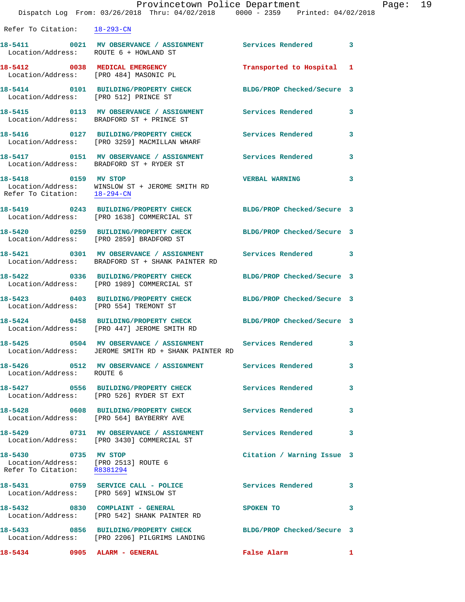| Refer To Citation: 18-293-CN                                                                |                                                                                                                      |                                      |   |
|---------------------------------------------------------------------------------------------|----------------------------------------------------------------------------------------------------------------------|--------------------------------------|---|
| Location/Address: ROUTE 6 + HOWLAND ST                                                      | 18-5411 0021 MV OBSERVANCE / ASSIGNMENT Services Rendered 3                                                          |                                      |   |
|                                                                                             | 18-5412 0038 MEDICAL EMERGENCY<br>Location/Address: [PRO 484] MASONIC PL                                             | Transported to Hospital 1            |   |
| Location/Address: [PRO 512] PRINCE ST                                                       | 18-5414 0101 BUILDING/PROPERTY CHECK                                                                                 | BLDG/PROP Checked/Secure 3           |   |
|                                                                                             | 18-5415 		 0113 MV OBSERVANCE / ASSIGNMENT Services Rendered<br>Location/Address: BRADFORD ST + PRINCE ST            |                                      | 3 |
|                                                                                             | 18-5416 0127 BUILDING/PROPERTY CHECK<br>Location/Address: [PRO 3259] MACMILLAN WHARF                                 | Services Rendered                    | 3 |
|                                                                                             | 18-5417 <b>18-5417</b> 0151 MV OBSERVANCE / ASSIGNMENT Services Rendered<br>Location/Address: BRADFORD ST + RYDER ST |                                      | 3 |
| 18-5418 0159 MV STOP<br>Refer To Citation: 18-294-CN                                        | Location/Address: WINSLOW ST + JEROME SMITH RD                                                                       | <b>VERBAL WARNING</b>                | 3 |
|                                                                                             | 18-5419 0243 BUILDING/PROPERTY CHECK<br>Location/Address: [PRO 1638] COMMERCIAL ST                                   | BLDG/PROP Checked/Secure 3           |   |
|                                                                                             | 18-5420 0259 BUILDING/PROPERTY CHECK<br>Location/Address: [PRO 2859] BRADFORD ST                                     | BLDG/PROP Checked/Secure 3           |   |
|                                                                                             | 18-5421 0301 MV OBSERVANCE / ASSIGNMENT<br>Location/Address: BRADFORD ST + SHANK PAINTER RD                          | Services Rendered 3                  |   |
|                                                                                             | 18-5422 0336 BUILDING/PROPERTY CHECK<br>Location/Address: [PRO 1989] COMMERCIAL ST                                   | BLDG/PROP Checked/Secure 3           |   |
|                                                                                             | 18-5423 0403 BUILDING/PROPERTY CHECK<br>Location/Address: [PRO 554] TREMONT ST                                       | BLDG/PROP Checked/Secure 3           |   |
|                                                                                             | 18-5424 0458 BUILDING/PROPERTY CHECK<br>Location/Address: [PRO 447] JEROME SMITH RD                                  | BLDG/PROP Checked/Secure 3           |   |
|                                                                                             | 18-5425 0504 MV OBSERVANCE / ASSIGNMENT Services Rendered 3<br>Location/Address: JEROME SMITH RD + SHANK PAINTER RD  |                                      |   |
| Location/Address: ROUTE 6                                                                   |                                                                                                                      |                                      |   |
|                                                                                             | 18-5427 0556 BUILDING/PROPERTY CHECK<br>Location/Address: [PRO 526] RYDER ST EXT                                     | <b>Services Rendered</b><br>$\sim$ 3 |   |
|                                                                                             | 18-5428 0608 BUILDING/PROPERTY CHECK<br>Location/Address: [PRO 564] BAYBERRY AVE                                     | Services Rendered 3                  |   |
|                                                                                             | 18-5429 		 0731 MV OBSERVANCE / ASSIGNMENT Services Rendered<br>Location/Address: [PRO 3430] COMMERCIAL ST           |                                      | 3 |
| 18-5430 0735 MV STOP<br>Location/Address: [PRO 2513] ROUTE 6<br>Refer To Citation: R8381294 |                                                                                                                      | Citation / Warning Issue 3           |   |
|                                                                                             | 18-5431 0759 SERVICE CALL - POLICE<br>Location/Address: [PRO 569] WINSLOW ST                                         | Services Rendered 3                  |   |
|                                                                                             | 18-5432 0830 COMPLAINT - GENERAL<br>Location/Address: [PRO 542] SHANK PAINTER RD                                     | SPOKEN TO                            | 3 |
|                                                                                             | 18-5433 0856 BUILDING/PROPERTY CHECK<br>Location/Address: [PRO 2206] PILGRIMS LANDING                                | BLDG/PROP Checked/Secure 3           |   |
| 18-5434 0905 ALARM - GENERAL                                                                |                                                                                                                      | False Alarm                          |   |